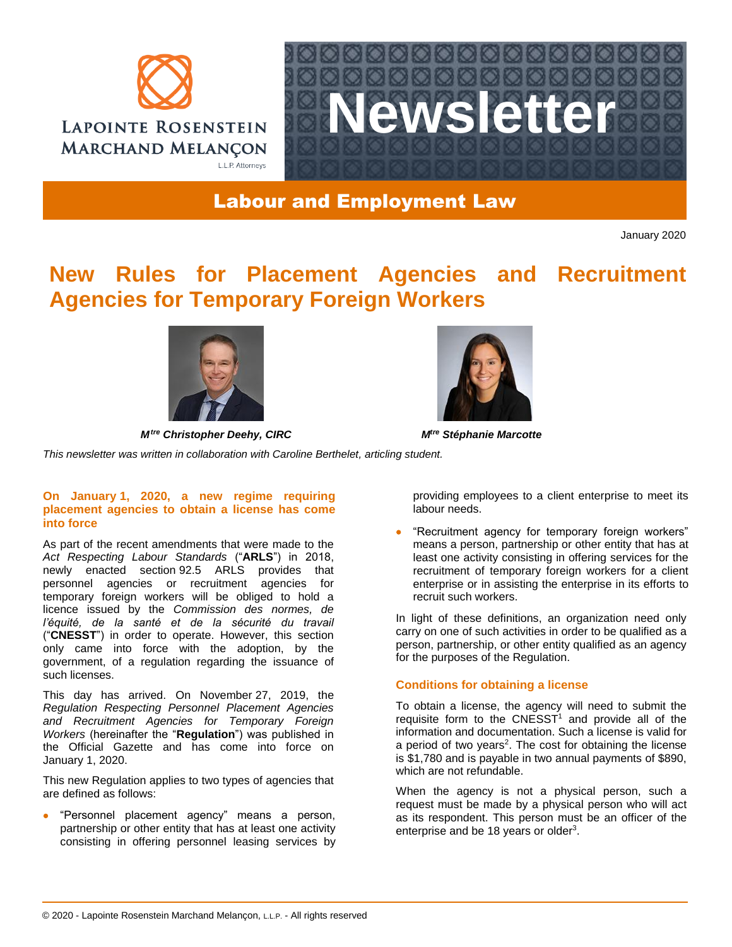



# Labour and Employment Law

January 2020

# **New Rules for Placement Agencies and Recruitment Agencies for Temporary Foreign Workers**



*Mtre Christopher Deehy, CIRC Mtre Stéphanie Marcotte*



*This newsletter was written in collaboration with Caroline Berthelet, articling student.*

## **On January 1, 2020, a new regime requiring placement agencies to obtain a license has come into force**

As part of the recent amendments that were made to the *Act Respecting Labour Standards* ("**ARLS**") in 2018, newly enacted section 92.5 ARLS provides that personnel agencies or recruitment agencies for temporary foreign workers will be obliged to hold a licence issued by the *Commission des normes, de l'équité, de la santé et de la sécurité du travail* ("**CNESST**") in order to operate. However, this section only came into force with the adoption, by the government, of a regulation regarding the issuance of such licenses.

This day has arrived. On November 27, 2019, the *Regulation Respecting Personnel Placement Agencies and Recruitment Agencies for Temporary Foreign Workers* (hereinafter the "**Regulation**") was published in the Official Gazette and has come into force on January 1, 2020.

This new Regulation applies to two types of agencies that are defined as follows:

 "Personnel placement agency" means a person, partnership or other entity that has at least one activity consisting in offering personnel leasing services by providing employees to a client enterprise to meet its labour needs.

• "Recruitment agency for temporary foreign workers" means a person, partnership or other entity that has at least one activity consisting in offering services for the recruitment of temporary foreign workers for a client enterprise or in assisting the enterprise in its efforts to recruit such workers.

In light of these definitions, an organization need only carry on one of such activities in order to be qualified as a person, partnership, or other entity qualified as an agency for the purposes of the Regulation.

## **Conditions for obtaining a license**

To obtain a license, the agency will need to submit the requisite form to the CNESST<sup>1</sup> and provide all of the information and documentation. Such a license is valid for a period of two years<sup>2</sup>. The cost for obtaining the license is \$1,780 and is payable in two annual payments of \$890, which are not refundable.

When the agency is not a physical person, such a request must be made by a physical person who will act as its respondent. This person must be an officer of the enterprise and be 18 years or older<sup>3</sup>.